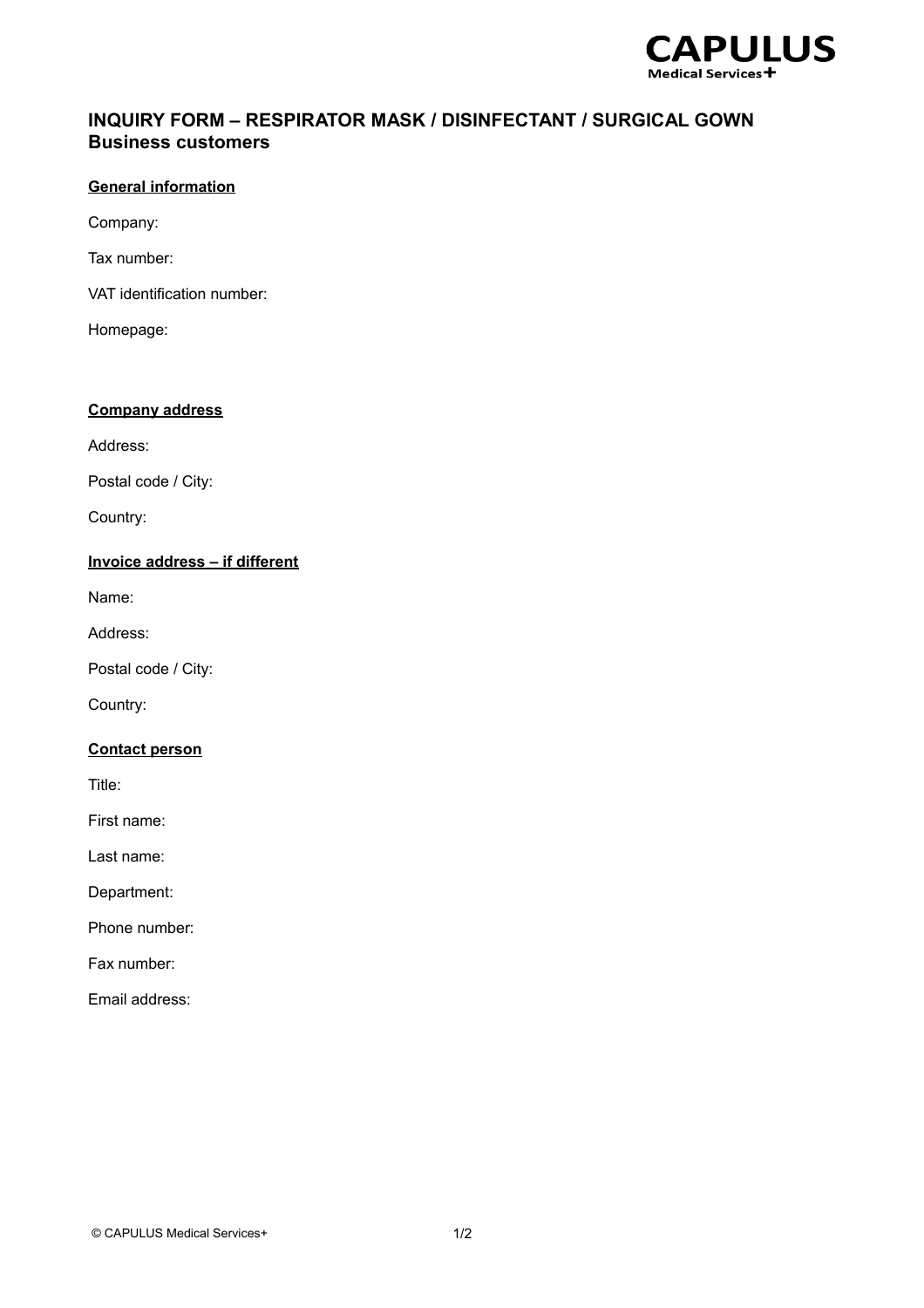

# **INQUIRY FORM – RESPIRATOR MASK / DISINFECTANT / SURGICAL GOWN Business customers**

### **General information**

Company:

Tax number:

VAT identification number:

Homepage:

### **Company address**

Address:

Postal code / City:

Country:

## **Invoice address – if different**

Name:

Address:

Postal code / City:

Country:

### **Contact person**

Title:

First name:

Last name:

Department:

Phone number:

Fax number:

Email address: